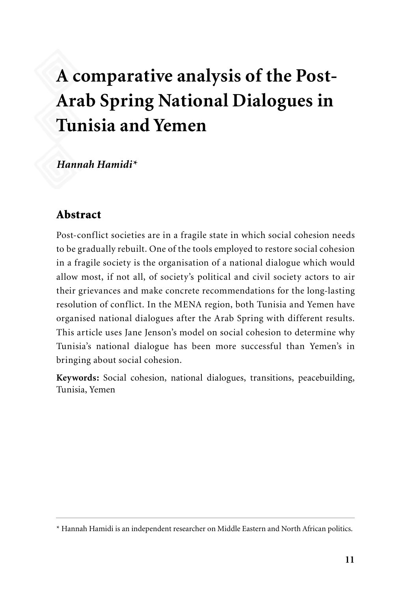# **A comparative analysis of the Post-Arab Spring National Dialogues in Tunisia and Yemen**

*Hannah Hamidi\**

## Abstract

Post-conflict societies are in a fragile state in which social cohesion needs to be gradually rebuilt. One of the tools employed to restore social cohesion in a fragile society is the organisation of a national dialogue which would allow most, if not all, of society's political and civil society actors to air their grievances and make concrete recommendations for the long-lasting resolution of conflict. In the MENA region, both Tunisia and Yemen have organised national dialogues after the Arab Spring with different results. This article uses Jane Jenson's model on social cohesion to determine why Tunisia's national dialogue has been more successful than Yemen's in bringing about social cohesion.

**Keywords:** Social cohesion, national dialogues, transitions, peacebuilding, Tunisia, Yemen

<sup>\*</sup> Hannah Hamidi is an independent researcher on Middle Eastern and North African politics.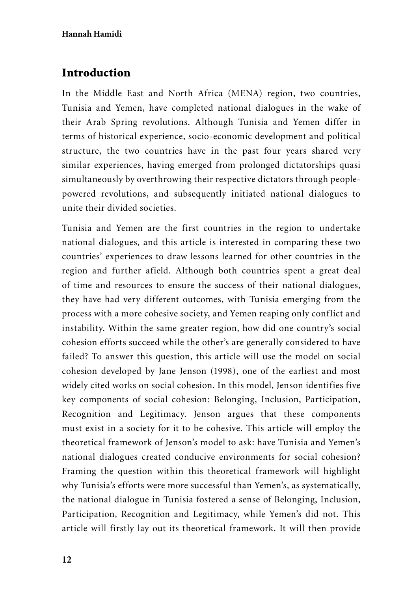# Introduction

In the Middle East and North Africa (MENA) region, two countries, Tunisia and Yemen, have completed national dialogues in the wake of their Arab Spring revolutions. Although Tunisia and Yemen differ in terms of historical experience, socio-economic development and political structure, the two countries have in the past four years shared very similar experiences, having emerged from prolonged dictatorships quasi simultaneously by overthrowing their respective dictators through peoplepowered revolutions, and subsequently initiated national dialogues to unite their divided societies.

Tunisia and Yemen are the first countries in the region to undertake national dialogues, and this article is interested in comparing these two countries' experiences to draw lessons learned for other countries in the region and further afield. Although both countries spent a great deal of time and resources to ensure the success of their national dialogues, they have had very different outcomes, with Tunisia emerging from the process with a more cohesive society, and Yemen reaping only conflict and instability. Within the same greater region, how did one country's social cohesion efforts succeed while the other's are generally considered to have failed? To answer this question, this article will use the model on social cohesion developed by Jane Jenson (1998), one of the earliest and most widely cited works on social cohesion. In this model, Jenson identifies five key components of social cohesion: Belonging, Inclusion, Participation, Recognition and Legitimacy. Jenson argues that these components must exist in a society for it to be cohesive. This article will employ the theoretical framework of Jenson's model to ask: have Tunisia and Yemen's national dialogues created conducive environments for social cohesion? Framing the question within this theoretical framework will highlight why Tunisia's efforts were more successful than Yemen's, as systematically, the national dialogue in Tunisia fostered a sense of Belonging, Inclusion, Participation, Recognition and Legitimacy, while Yemen's did not. This article will firstly lay out its theoretical framework. It will then provide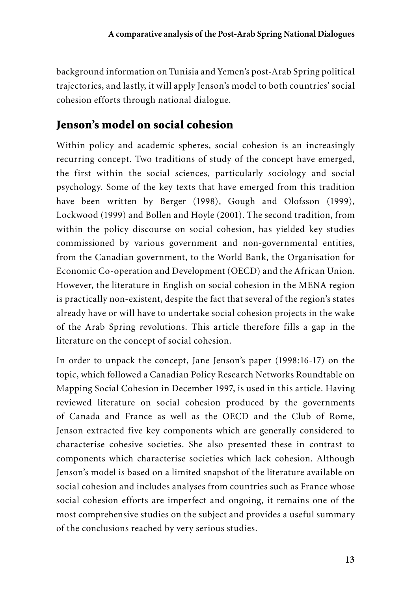background information on Tunisia and Yemen's post-Arab Spring political trajectories, and lastly, it will apply Jenson's model to both countries' social cohesion efforts through national dialogue.

# Jenson's model on social cohesion

Within policy and academic spheres, social cohesion is an increasingly recurring concept. Two traditions of study of the concept have emerged, the first within the social sciences, particularly sociology and social psychology. Some of the key texts that have emerged from this tradition have been written by Berger (1998), Gough and Olofsson (1999), Lockwood (1999) and Bollen and Hoyle (2001). The second tradition, from within the policy discourse on social cohesion, has yielded key studies commissioned by various government and non-governmental entities, from the Canadian government, to the World Bank, the Organisation for Economic Co-operation and Development (OECD) and the African Union. However, the literature in English on social cohesion in the MENA region is practically non-existent, despite the fact that several of the region's states already have or will have to undertake social cohesion projects in the wake of the Arab Spring revolutions. This article therefore fills a gap in the literature on the concept of social cohesion.

In order to unpack the concept, Jane Jenson's paper (1998:16-17) on the topic, which followed a Canadian Policy Research Networks Roundtable on Mapping Social Cohesion in December 1997, is used in this article. Having reviewed literature on social cohesion produced by the governments of Canada and France as well as the OECD and the Club of Rome, Jenson extracted five key components which are generally considered to characterise cohesive societies. She also presented these in contrast to components which characterise societies which lack cohesion. Although Jenson's model is based on a limited snapshot of the literature available on social cohesion and includes analyses from countries such as France whose social cohesion efforts are imperfect and ongoing, it remains one of the most comprehensive studies on the subject and provides a useful summary of the conclusions reached by very serious studies.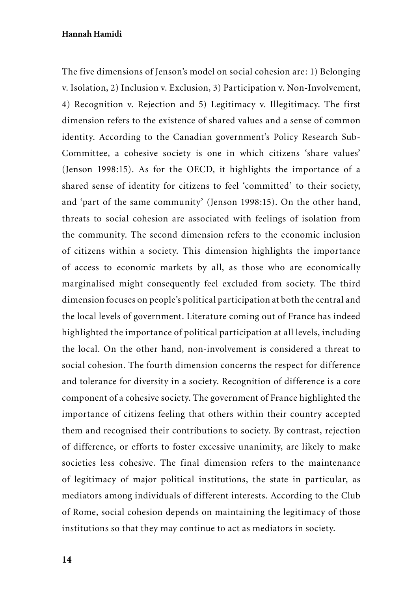The five dimensions of Jenson's model on social cohesion are: 1) Belonging v. Isolation, 2) Inclusion v. Exclusion, 3) Participation v. Non-Involvement, 4) Recognition v. Rejection and 5) Legitimacy v. Illegitimacy. The first dimension refers to the existence of shared values and a sense of common identity. According to the Canadian government's Policy Research Sub-Committee, a cohesive society is one in which citizens 'share values' (Jenson 1998:15). As for the OECD, it highlights the importance of a shared sense of identity for citizens to feel 'committed' to their society, and 'part of the same community' (Jenson 1998:15). On the other hand, threats to social cohesion are associated with feelings of isolation from the community. The second dimension refers to the economic inclusion of citizens within a society. This dimension highlights the importance of access to economic markets by all, as those who are economically marginalised might consequently feel excluded from society. The third dimension focuses on people's political participation at both the central and the local levels of government. Literature coming out of France has indeed highlighted the importance of political participation at all levels, including the local. On the other hand, non-involvement is considered a threat to social cohesion. The fourth dimension concerns the respect for difference and tolerance for diversity in a society. Recognition of difference is a core component of a cohesive society. The government of France highlighted the importance of citizens feeling that others within their country accepted them and recognised their contributions to society. By contrast, rejection of difference, or efforts to foster excessive unanimity, are likely to make societies less cohesive. The final dimension refers to the maintenance of legitimacy of major political institutions, the state in particular, as mediators among individuals of different interests. According to the Club of Rome, social cohesion depends on maintaining the legitimacy of those institutions so that they may continue to act as mediators in society.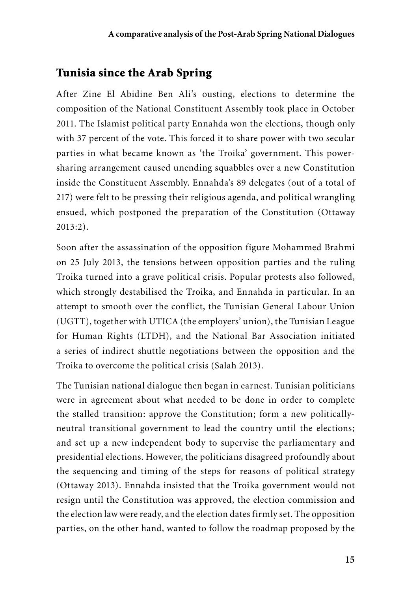## Tunisia since the Arab Spring

After Zine El Abidine Ben Ali's ousting, elections to determine the composition of the National Constituent Assembly took place in October 2011. The Islamist political party Ennahda won the elections, though only with 37 percent of the vote. This forced it to share power with two secular parties in what became known as 'the Troika' government. This powersharing arrangement caused unending squabbles over a new Constitution inside the Constituent Assembly. Ennahda's 89 delegates (out of a total of 217) were felt to be pressing their religious agenda, and political wrangling ensued, which postponed the preparation of the Constitution (Ottaway 2013:2).

Soon after the assassination of the opposition figure Mohammed Brahmi on 25 July 2013, the tensions between opposition parties and the ruling Troika turned into a grave political crisis. Popular protests also followed, which strongly destabilised the Troika, and Ennahda in particular. In an attempt to smooth over the conflict, the Tunisian General Labour Union (UGTT), together with UTICA (the employers' union), the Tunisian League for Human Rights (LTDH), and the National Bar Association initiated a series of indirect shuttle negotiations between the opposition and the Troika to overcome the political crisis (Salah 2013).

The Tunisian national dialogue then began in earnest. Tunisian politicians were in agreement about what needed to be done in order to complete the stalled transition: approve the Constitution; form a new politicallyneutral transitional government to lead the country until the elections; and set up a new independent body to supervise the parliamentary and presidential elections. However, the politicians disagreed profoundly about the sequencing and timing of the steps for reasons of political strategy (Ottaway 2013). Ennahda insisted that the Troika government would not resign until the Constitution was approved, the election commission and the election law were ready, and the election dates firmly set. The opposition parties, on the other hand, wanted to follow the roadmap proposed by the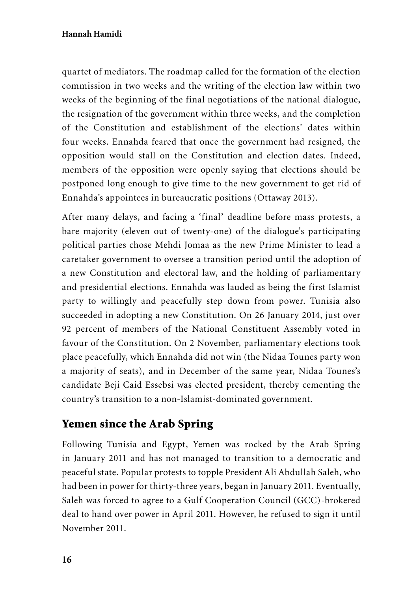quartet of mediators. The roadmap called for the formation of the election commission in two weeks and the writing of the election law within two weeks of the beginning of the final negotiations of the national dialogue, the resignation of the government within three weeks, and the completion of the Constitution and establishment of the elections' dates within four weeks. Ennahda feared that once the government had resigned, the opposition would stall on the Constitution and election dates. Indeed, members of the opposition were openly saying that elections should be postponed long enough to give time to the new government to get rid of Ennahda's appointees in bureaucratic positions (Ottaway 2013).

After many delays, and facing a 'final' deadline before mass protests, a bare majority (eleven out of twenty-one) of the dialogue's participating political parties chose Mehdi Jomaa as the new Prime Minister to lead a caretaker government to oversee a transition period until the adoption of a new Constitution and electoral law, and the holding of parliamentary and presidential elections. Ennahda was lauded as being the first Islamist party to willingly and peacefully step down from power. Tunisia also succeeded in adopting a new Constitution. On 26 January 2014, just over 92 percent of members of the National Constituent Assembly voted in favour of the Constitution. On 2 November, parliamentary elections took place peacefully, which Ennahda did not win (the Nidaa Tounes party won a majority of seats), and in December of the same year, Nidaa Tounes's candidate Beji Caid Essebsi was elected president, thereby cementing the country's transition to a non-Islamist-dominated government.

## Yemen since the Arab Spring

Following Tunisia and Egypt, Yemen was rocked by the Arab Spring in January 2011 and has not managed to transition to a democratic and peaceful state. Popular protests to topple President Ali Abdullah Saleh, who had been in power for thirty-three years, began in January 2011. Eventually, Saleh was forced to agree to a Gulf Cooperation Council (GCC)-brokered deal to hand over power in April 2011. However, he refused to sign it until November 2011.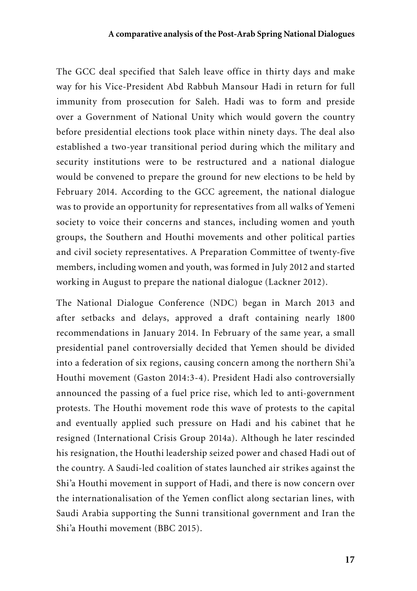The GCC deal specified that Saleh leave office in thirty days and make way for his Vice-President Abd Rabbuh Mansour Hadi in return for full immunity from prosecution for Saleh. Hadi was to form and preside over a Government of National Unity which would govern the country before presidential elections took place within ninety days. The deal also established a two-year transitional period during which the military and security institutions were to be restructured and a national dialogue would be convened to prepare the ground for new elections to be held by February 2014. According to the GCC agreement, the national dialogue was to provide an opportunity for representatives from all walks of Yemeni society to voice their concerns and stances, including women and youth groups, the Southern and Houthi movements and other political parties and civil society representatives. A Preparation Committee of twenty-five members, including women and youth, was formed in July 2012 and started working in August to prepare the national dialogue (Lackner 2012).

The National Dialogue Conference (NDC) began in March 2013 and after setbacks and delays, approved a draft containing nearly 1800 recommendations in January 2014. In February of the same year, a small presidential panel controversially decided that Yemen should be divided into a federation of six regions, causing concern among the northern Shi'a Houthi movement (Gaston 2014:3-4). President Hadi also controversially announced the passing of a fuel price rise, which led to anti-government protests. The Houthi movement rode this wave of protests to the capital and eventually applied such pressure on Hadi and his cabinet that he resigned (International Crisis Group 2014a). Although he later rescinded his resignation, the Houthi leadership seized power and chased Hadi out of the country. A Saudi-led coalition of states launched air strikes against the Shi'a Houthi movement in support of Hadi, and there is now concern over the internationalisation of the Yemen conflict along sectarian lines, with Saudi Arabia supporting the Sunni transitional government and Iran the Shi'a Houthi movement (BBC 2015).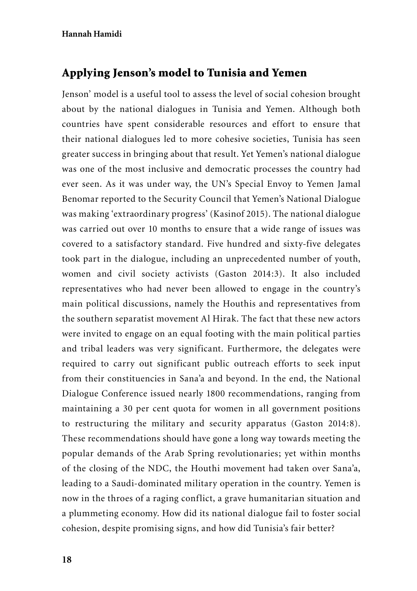## Applying Jenson's model to Tunisia and Yemen

Jenson' model is a useful tool to assess the level of social cohesion brought about by the national dialogues in Tunisia and Yemen. Although both countries have spent considerable resources and effort to ensure that their national dialogues led to more cohesive societies, Tunisia has seen greater success in bringing about that result. Yet Yemen's national dialogue was one of the most inclusive and democratic processes the country had ever seen. As it was under way, the UN's Special Envoy to Yemen Jamal Benomar reported to the Security Council that Yemen's National Dialogue was making 'extraordinary progress' (Kasinof 2015). The national dialogue was carried out over 10 months to ensure that a wide range of issues was covered to a satisfactory standard. Five hundred and sixty-five delegates took part in the dialogue, including an unprecedented number of youth, women and civil society activists (Gaston 2014:3). It also included representatives who had never been allowed to engage in the country's main political discussions, namely the Houthis and representatives from the southern separatist movement Al Hirak. The fact that these new actors were invited to engage on an equal footing with the main political parties and tribal leaders was very significant. Furthermore, the delegates were required to carry out significant public outreach efforts to seek input from their constituencies in Sana'a and beyond. In the end, the National Dialogue Conference issued nearly 1800 recommendations, ranging from maintaining a 30 per cent quota for women in all government positions to restructuring the military and security apparatus (Gaston 2014:8). These recommendations should have gone a long way towards meeting the popular demands of the Arab Spring revolutionaries; yet within months of the closing of the NDC, the Houthi movement had taken over Sana'a, leading to a Saudi-dominated military operation in the country. Yemen is now in the throes of a raging conflict, a grave humanitarian situation and a plummeting economy. How did its national dialogue fail to foster social cohesion, despite promising signs, and how did Tunisia's fair better?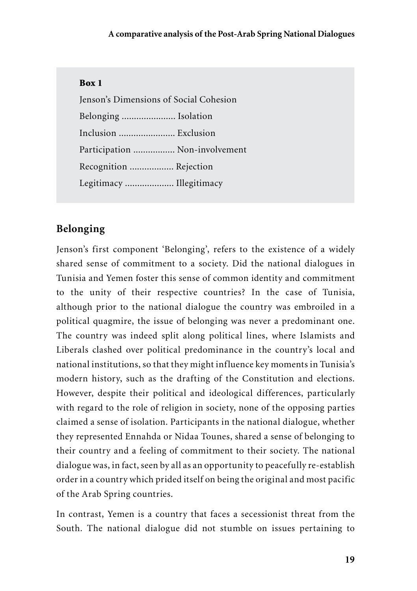#### Box 1

Jenson's Dimensions of Social Cohesion Belonging ...................... Isolation Inclusion ....................... Exclusion Participation ................. Non-involvement Recognition .................. Rejection Legitimacy .................... Illegitimacy

## **Belonging**

Jenson's first component 'Belonging', refers to the existence of a widely shared sense of commitment to a society. Did the national dialogues in Tunisia and Yemen foster this sense of common identity and commitment to the unity of their respective countries? In the case of Tunisia, although prior to the national dialogue the country was embroiled in a political quagmire, the issue of belonging was never a predominant one. The country was indeed split along political lines, where Islamists and Liberals clashed over political predominance in the country's local and national institutions, so that they might influence key moments in Tunisia's modern history, such as the drafting of the Constitution and elections. However, despite their political and ideological differences, particularly with regard to the role of religion in society, none of the opposing parties claimed a sense of isolation. Participants in the national dialogue, whether they represented Ennahda or Nidaa Tounes, shared a sense of belonging to their country and a feeling of commitment to their society. The national dialogue was, in fact, seen by all as an opportunity to peacefully re-establish order in a country which prided itself on being the original and most pacific of the Arab Spring countries.

In contrast, Yemen is a country that faces a secessionist threat from the South. The national dialogue did not stumble on issues pertaining to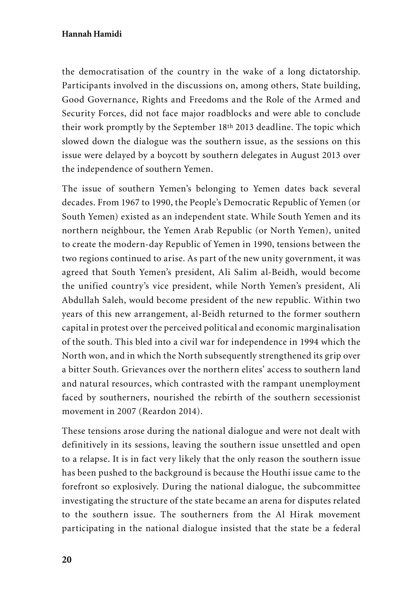the democratisation of the country in the wake of a long dictatorship. Participants involved in the discussions on, among others, State building, Good Governance, Rights and Freedoms and the Role of the Armed and Security Forces, did not face major roadblocks and were able to conclude their work promptly by the September 18th 2013 deadline. The topic which slowed down the dialogue was the southern issue, as the sessions on this issue were delayed by a boycott by southern delegates in August 2013 over the independence of southern Yemen.

The issue of southern Yemen's belonging to Yemen dates back several decades. From 1967 to 1990, the People's Democratic Republic of Yemen (or South Yemen) existed as an independent state. While South Yemen and its northern neighbour, the Yemen Arab Republic (or North Yemen), united to create the modern-day Republic of Yemen in 1990, tensions between the two regions continued to arise. As part of the new unity government, it was agreed that South Yemen's president, Ali Salim al-Beidh, would become the unified country's vice president, while North Yemen's president, Ali Abdullah Saleh, would become president of the new republic. Within two years of this new arrangement, al-Beidh returned to the former southern capital in protest over the perceived political and economic marginalisation of the south. This bled into a civil war for independence in 1994 which the North won, and in which the North subsequently strengthened its grip over a bitter South. Grievances over the northern elites' access to southern land and natural resources, which contrasted with the rampant unemployment faced by southerners, nourished the rebirth of the southern secessionist movement in 2007 (Reardon 2014).

These tensions arose during the national dialogue and were not dealt with definitively in its sessions, leaving the southern issue unsettled and open to a relapse. It is in fact very likely that the only reason the southern issue has been pushed to the background is because the Houthi issue came to the forefront so explosively. During the national dialogue, the subcommittee investigating the structure of the state became an arena for disputes related to the southern issue. The southerners from the Al Hirak movement participating in the national dialogue insisted that the state be a federal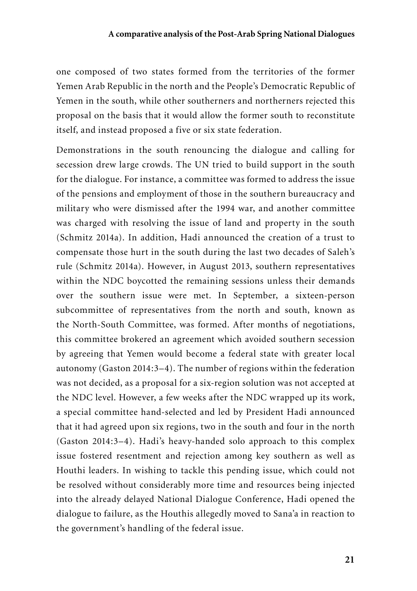one composed of two states formed from the territories of the former Yemen Arab Republic in the north and the People's Democratic Republic of Yemen in the south, while other southerners and northerners rejected this proposal on the basis that it would allow the former south to reconstitute itself, and instead proposed a five or six state federation.

Demonstrations in the south renouncing the dialogue and calling for secession drew large crowds. The UN tried to build support in the south for the dialogue. For instance, a committee was formed to address the issue of the pensions and employment of those in the southern bureaucracy and military who were dismissed after the 1994 war, and another committee was charged with resolving the issue of land and property in the south (Schmitz 2014a). In addition, Hadi announced the creation of a trust to compensate those hurt in the south during the last two decades of Saleh's rule (Schmitz 2014a). However, in August 2013, southern representatives within the NDC boycotted the remaining sessions unless their demands over the southern issue were met. In September, a sixteen-person subcommittee of representatives from the north and south, known as the North-South Committee, was formed. After months of negotiations, this committee brokered an agreement which avoided southern secession by agreeing that Yemen would become a federal state with greater local autonomy (Gaston 2014:3–4). The number of regions within the federation was not decided, as a proposal for a six-region solution was not accepted at the NDC level. However, a few weeks after the NDC wrapped up its work, a special committee hand-selected and led by President Hadi announced that it had agreed upon six regions, two in the south and four in the north (Gaston 2014:3–4). Hadi's heavy-handed solo approach to this complex issue fostered resentment and rejection among key southern as well as Houthi leaders. In wishing to tackle this pending issue, which could not be resolved without considerably more time and resources being injected into the already delayed National Dialogue Conference, Hadi opened the dialogue to failure, as the Houthis allegedly moved to Sana'a in reaction to the government's handling of the federal issue.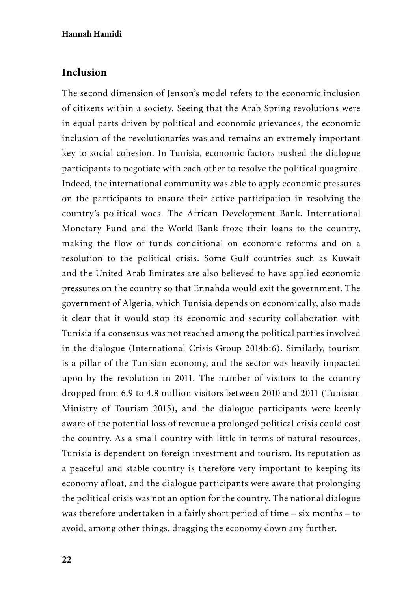### **Inclusion**

The second dimension of Jenson's model refers to the economic inclusion of citizens within a society. Seeing that the Arab Spring revolutions were in equal parts driven by political and economic grievances, the economic inclusion of the revolutionaries was and remains an extremely important key to social cohesion. In Tunisia, economic factors pushed the dialogue participants to negotiate with each other to resolve the political quagmire. Indeed, the international community was able to apply economic pressures on the participants to ensure their active participation in resolving the country's political woes. The African Development Bank, International Monetary Fund and the World Bank froze their loans to the country, making the flow of funds conditional on economic reforms and on a resolution to the political crisis. Some Gulf countries such as Kuwait and the United Arab Emirates are also believed to have applied economic pressures on the country so that Ennahda would exit the government. The government of Algeria, which Tunisia depends on economically, also made it clear that it would stop its economic and security collaboration with Tunisia if a consensus was not reached among the political parties involved in the dialogue (International Crisis Group 2014b:6). Similarly, tourism is a pillar of the Tunisian economy, and the sector was heavily impacted upon by the revolution in 2011. The number of visitors to the country dropped from 6.9 to 4.8 million visitors between 2010 and 2011 (Tunisian Ministry of Tourism 2015), and the dialogue participants were keenly aware of the potential loss of revenue a prolonged political crisis could cost the country. As a small country with little in terms of natural resources, Tunisia is dependent on foreign investment and tourism. Its reputation as a peaceful and stable country is therefore very important to keeping its economy afloat, and the dialogue participants were aware that prolonging the political crisis was not an option for the country. The national dialogue was therefore undertaken in a fairly short period of time – six months – to avoid, among other things, dragging the economy down any further.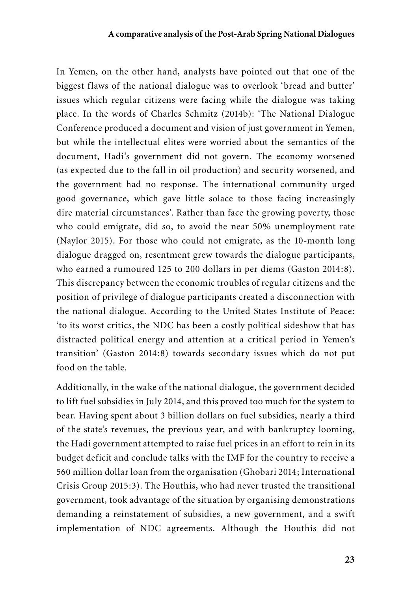In Yemen, on the other hand, analysts have pointed out that one of the biggest flaws of the national dialogue was to overlook 'bread and butter' issues which regular citizens were facing while the dialogue was taking place. In the words of Charles Schmitz (2014b): 'The National Dialogue Conference produced a document and vision of just government in Yemen, but while the intellectual elites were worried about the semantics of the document, Hadi's government did not govern. The economy worsened (as expected due to the fall in oil production) and security worsened, and the government had no response. The international community urged good governance, which gave little solace to those facing increasingly dire material circumstances'. Rather than face the growing poverty, those who could emigrate, did so, to avoid the near 50% unemployment rate (Naylor 2015). For those who could not emigrate, as the 10-month long dialogue dragged on, resentment grew towards the dialogue participants, who earned a rumoured 125 to 200 dollars in per diems (Gaston 2014:8). This discrepancy between the economic troubles of regular citizens and the position of privilege of dialogue participants created a disconnection with the national dialogue. According to the United States Institute of Peace: 'to its worst critics, the NDC has been a costly political sideshow that has distracted political energy and attention at a critical period in Yemen's transition' (Gaston 2014:8) towards secondary issues which do not put food on the table.

Additionally, in the wake of the national dialogue, the government decided to lift fuel subsidies in July 2014, and this proved too much for the system to bear. Having spent about 3 billion dollars on fuel subsidies, nearly a third of the state's revenues, the previous year, and with bankruptcy looming, the Hadi government attempted to raise fuel prices in an effort to rein in its budget deficit and conclude talks with the IMF for the country to receive a 560 million dollar loan from the organisation (Ghobari 2014; International Crisis Group 2015:3). The Houthis, who had never trusted the transitional government, took advantage of the situation by organising demonstrations demanding a reinstatement of subsidies, a new government, and a swift implementation of NDC agreements. Although the Houthis did not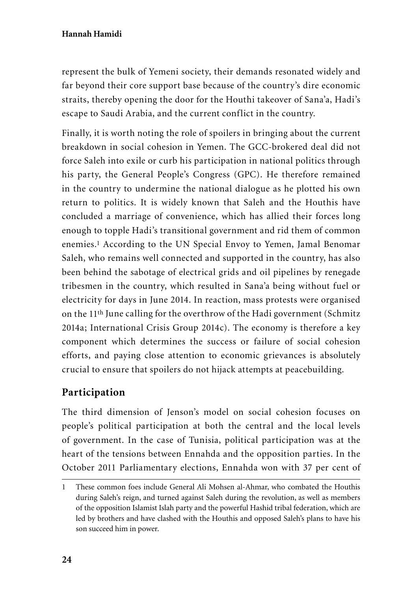represent the bulk of Yemeni society, their demands resonated widely and far beyond their core support base because of the country's dire economic straits, thereby opening the door for the Houthi takeover of Sana'a, Hadi's escape to Saudi Arabia, and the current conflict in the country.

Finally, it is worth noting the role of spoilers in bringing about the current breakdown in social cohesion in Yemen. The GCC-brokered deal did not force Saleh into exile or curb his participation in national politics through his party, the General People's Congress (GPC). He therefore remained in the country to undermine the national dialogue as he plotted his own return to politics. It is widely known that Saleh and the Houthis have concluded a marriage of convenience, which has allied their forces long enough to topple Hadi's transitional government and rid them of common enemies.1 According to the UN Special Envoy to Yemen, Jamal Benomar Saleh, who remains well connected and supported in the country, has also been behind the sabotage of electrical grids and oil pipelines by renegade tribesmen in the country, which resulted in Sana'a being without fuel or electricity for days in June 2014. In reaction, mass protests were organised on the 11th June calling for the overthrow of the Hadi government (Schmitz 2014a; International Crisis Group 2014c). The economy is therefore a key component which determines the success or failure of social cohesion efforts, and paying close attention to economic grievances is absolutely crucial to ensure that spoilers do not hijack attempts at peacebuilding.

# **Participation**

The third dimension of Jenson's model on social cohesion focuses on people's political participation at both the central and the local levels of government. In the case of Tunisia, political participation was at the heart of the tensions between Ennahda and the opposition parties. In the October 2011 Parliamentary elections, Ennahda won with 37 per cent of

<sup>1</sup> These common foes include General Ali Mohsen al-Ahmar, who combated the Houthis during Saleh's reign, and turned against Saleh during the revolution, as well as members of the opposition Islamist Islah party and the powerful Hashid tribal federation, which are led by brothers and have clashed with the Houthis and opposed Saleh's plans to have his son succeed him in power.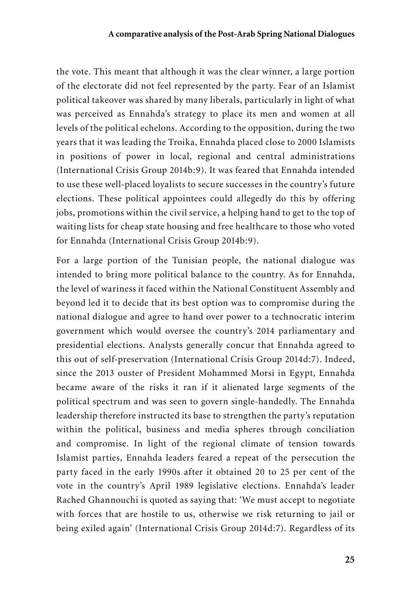the vote. This meant that although it was the clear winner, a large portion of the electorate did not feel represented by the party. Fear of an Islamist political takeover was shared by many liberals, particularly in light of what was perceived as Ennahda's strategy to place its men and women at all levels of the political echelons. According to the opposition, during the two years that it was leading the Troika, Ennahda placed close to 2000 Islamists in positions of power in local, regional and central administrations (International Crisis Group 2014b:9). It was feared that Ennahda intended to use these well-placed loyalists to secure successes in the country's future elections. These political appointees could allegedly do this by offering jobs, promotions within the civil service, a helping hand to get to the top of waiting lists for cheap state housing and free healthcare to those who voted for Ennahda (International Crisis Group 2014b:9).

For a large portion of the Tunisian people, the national dialogue was intended to bring more political balance to the country. As for Ennahda, the level of wariness it faced within the National Constituent Assembly and beyond led it to decide that its best option was to compromise during the national dialogue and agree to hand over power to a technocratic interim government which would oversee the country's 2014 parliamentary and presidential elections. Analysts generally concur that Ennahda agreed to this out of self-preservation (International Crisis Group 2014d:7). Indeed, since the 2013 ouster of President Mohammed Morsi in Egypt, Ennahda became aware of the risks it ran if it alienated large segments of the political spectrum and was seen to govern single-handedly. The Ennahda leadership therefore instructed its base to strengthen the party's reputation within the political, business and media spheres through conciliation and compromise. In light of the regional climate of tension towards Islamist parties, Ennahda leaders feared a repeat of the persecution the party faced in the early 1990s after it obtained 20 to 25 per cent of the vote in the country's April 1989 legislative elections. Ennahda's leader Rached Ghannouchi is quoted as saying that: 'We must accept to negotiate with forces that are hostile to us, otherwise we risk returning to jail or being exiled again' (International Crisis Group 2014d:7). Regardless of its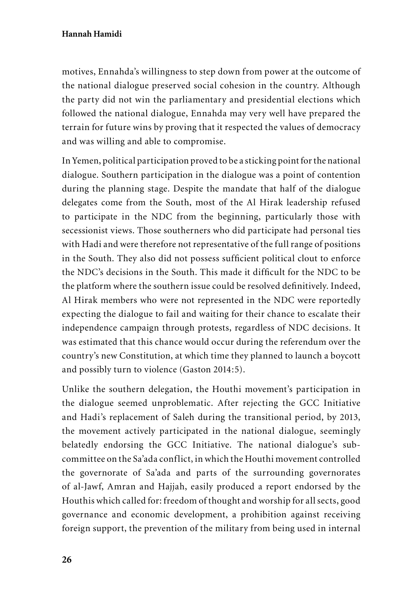motives, Ennahda's willingness to step down from power at the outcome of the national dialogue preserved social cohesion in the country. Although the party did not win the parliamentary and presidential elections which followed the national dialogue, Ennahda may very well have prepared the terrain for future wins by proving that it respected the values of democracy and was willing and able to compromise.

In Yemen, political participation proved to be a sticking point for the national dialogue. Southern participation in the dialogue was a point of contention during the planning stage. Despite the mandate that half of the dialogue delegates come from the South, most of the Al Hirak leadership refused to participate in the NDC from the beginning, particularly those with secessionist views. Those southerners who did participate had personal ties with Hadi and were therefore not representative of the full range of positions in the South. They also did not possess sufficient political clout to enforce the NDC's decisions in the South. This made it difficult for the NDC to be the platform where the southern issue could be resolved definitively. Indeed, Al Hirak members who were not represented in the NDC were reportedly expecting the dialogue to fail and waiting for their chance to escalate their independence campaign through protests, regardless of NDC decisions. It was estimated that this chance would occur during the referendum over the country's new Constitution, at which time they planned to launch a boycott and possibly turn to violence (Gaston 2014:5).

Unlike the southern delegation, the Houthi movement's participation in the dialogue seemed unproblematic. After rejecting the GCC Initiative and Hadi's replacement of Saleh during the transitional period, by 2013, the movement actively participated in the national dialogue, seemingly belatedly endorsing the GCC Initiative. The national dialogue's subcommittee on the Sa'ada conflict, in which the Houthi movement controlled the governorate of Sa'ada and parts of the surrounding governorates of al-Jawf, Amran and Hajjah, easily produced a report endorsed by the Houthis which called for: freedom of thought and worship for all sects, good governance and economic development, a prohibition against receiving foreign support, the prevention of the military from being used in internal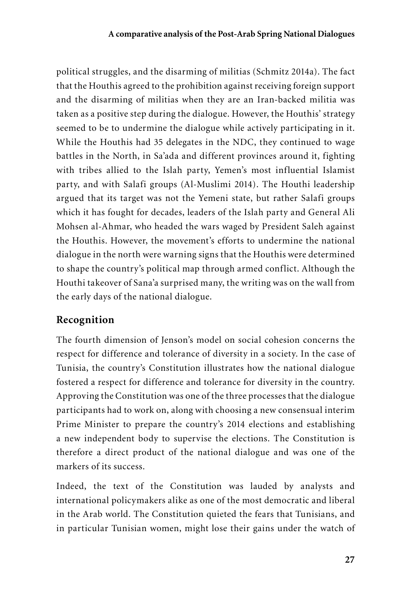political struggles, and the disarming of militias (Schmitz 2014a). The fact that the Houthis agreed to the prohibition against receiving foreign support and the disarming of militias when they are an Iran-backed militia was taken as a positive step during the dialogue. However, the Houthis' strategy seemed to be to undermine the dialogue while actively participating in it. While the Houthis had 35 delegates in the NDC, they continued to wage battles in the North, in Sa'ada and different provinces around it, fighting with tribes allied to the Islah party, Yemen's most influential Islamist party, and with Salafi groups (Al-Muslimi 2014). The Houthi leadership argued that its target was not the Yemeni state, but rather Salafi groups which it has fought for decades, leaders of the Islah party and General Ali Mohsen al-Ahmar, who headed the wars waged by President Saleh against the Houthis. However, the movement's efforts to undermine the national dialogue in the north were warning signs that the Houthis were determined to shape the country's political map through armed conflict. Although the Houthi takeover of Sana'a surprised many, the writing was on the wall from the early days of the national dialogue.

## **Recognition**

The fourth dimension of Jenson's model on social cohesion concerns the respect for difference and tolerance of diversity in a society. In the case of Tunisia, the country's Constitution illustrates how the national dialogue fostered a respect for difference and tolerance for diversity in the country. Approving the Constitution was one of the three processes that the dialogue participants had to work on, along with choosing a new consensual interim Prime Minister to prepare the country's 2014 elections and establishing a new independent body to supervise the elections. The Constitution is therefore a direct product of the national dialogue and was one of the markers of its success.

Indeed, the text of the Constitution was lauded by analysts and international policymakers alike as one of the most democratic and liberal in the Arab world. The Constitution quieted the fears that Tunisians, and in particular Tunisian women, might lose their gains under the watch of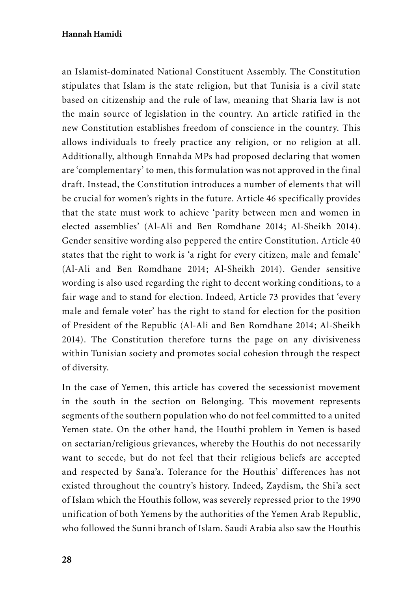an Islamist-dominated National Constituent Assembly. The Constitution stipulates that Islam is the state religion, but that Tunisia is a civil state based on citizenship and the rule of law, meaning that Sharia law is not the main source of legislation in the country. An article ratified in the new Constitution establishes freedom of conscience in the country. This allows individuals to freely practice any religion, or no religion at all. Additionally, although Ennahda MPs had proposed declaring that women are 'complementary' to men, this formulation was not approved in the final draft. Instead, the Constitution introduces a number of elements that will be crucial for women's rights in the future. Article 46 specifically provides that the state must work to achieve 'parity between men and women in elected assemblies' (Al-Ali and Ben Romdhane 2014; Al-Sheikh 2014). Gender sensitive wording also peppered the entire Constitution. Article 40 states that the right to work is 'a right for every citizen, male and female' (Al-Ali and Ben Romdhane 2014; Al-Sheikh 2014). Gender sensitive wording is also used regarding the right to decent working conditions, to a fair wage and to stand for election. Indeed, Article 73 provides that 'every male and female voter' has the right to stand for election for the position of President of the Republic (Al-Ali and Ben Romdhane 2014; Al-Sheikh 2014). The Constitution therefore turns the page on any divisiveness within Tunisian society and promotes social cohesion through the respect of diversity.

In the case of Yemen, this article has covered the secessionist movement in the south in the section on Belonging. This movement represents segments of the southern population who do not feel committed to a united Yemen state. On the other hand, the Houthi problem in Yemen is based on sectarian/religious grievances, whereby the Houthis do not necessarily want to secede, but do not feel that their religious beliefs are accepted and respected by Sana'a. Tolerance for the Houthis' differences has not existed throughout the country's history. Indeed, Zaydism, the Shi'a sect of Islam which the Houthis follow, was severely repressed prior to the 1990 unification of both Yemens by the authorities of the Yemen Arab Republic, who followed the Sunni branch of Islam. Saudi Arabia also saw the Houthis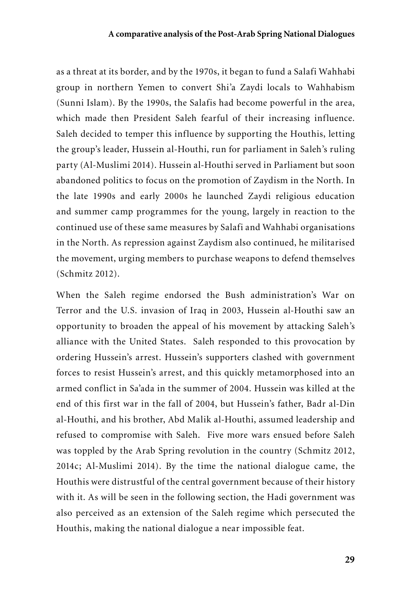as a threat at its border, and by the 1970s, it began to fund a Salafi Wahhabi group in northern Yemen to convert Shi'a Zaydi locals to Wahhabism (Sunni Islam). By the 1990s, the Salafis had become powerful in the area, which made then President Saleh fearful of their increasing influence. Saleh decided to temper this influence by supporting the Houthis, letting the group's leader, Hussein al-Houthi, run for parliament in Saleh's ruling party (Al-Muslimi 2014). Hussein al-Houthi served in Parliament but soon abandoned politics to focus on the promotion of Zaydism in the North. In the late 1990s and early 2000s he launched Zaydi religious education and summer camp programmes for the young, largely in reaction to the continued use of these same measures by Salafi and Wahhabi organisations in the North. As repression against Zaydism also continued, he militarised the movement, urging members to purchase weapons to defend themselves (Schmitz 2012).

When the Saleh regime endorsed the Bush administration's War on Terror and the U.S. invasion of Iraq in 2003, Hussein al-Houthi saw an opportunity to broaden the appeal of his movement by attacking Saleh's alliance with the United States. Saleh responded to this provocation by ordering Hussein's arrest. Hussein's supporters clashed with government forces to resist Hussein's arrest, and this quickly metamorphosed into an armed conflict in Sa'ada in the summer of 2004. Hussein was killed at the end of this first war in the fall of 2004, but Hussein's father, Badr al-Din al-Houthi, and his brother, Abd Malik al-Houthi, assumed leadership and refused to compromise with Saleh. Five more wars ensued before Saleh was toppled by the Arab Spring revolution in the country (Schmitz 2012, 2014c; Al-Muslimi 2014). By the time the national dialogue came, the Houthis were distrustful of the central government because of their history with it. As will be seen in the following section, the Hadi government was also perceived as an extension of the Saleh regime which persecuted the Houthis, making the national dialogue a near impossible feat.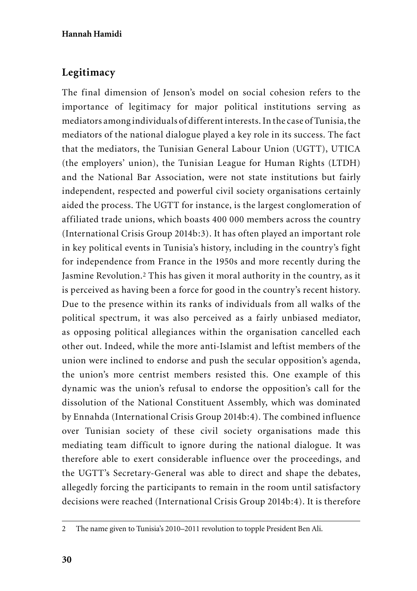## **Legitimacy**

The final dimension of Jenson's model on social cohesion refers to the importance of legitimacy for major political institutions serving as mediators among individuals of different interests. In the case of Tunisia, the mediators of the national dialogue played a key role in its success. The fact that the mediators, the Tunisian General Labour Union (UGTT), UTICA (the employers' union), the Tunisian League for Human Rights (LTDH) and the National Bar Association, were not state institutions but fairly independent, respected and powerful civil society organisations certainly aided the process. The UGTT for instance, is the largest conglomeration of affiliated trade unions, which boasts 400 000 members across the country (International Crisis Group 2014b:3). It has often played an important role in key political events in Tunisia's history, including in the country's fight for independence from France in the 1950s and more recently during the Jasmine Revolution.2 This has given it moral authority in the country, as it is perceived as having been a force for good in the country's recent history. Due to the presence within its ranks of individuals from all walks of the political spectrum, it was also perceived as a fairly unbiased mediator, as opposing political allegiances within the organisation cancelled each other out. Indeed, while the more anti-Islamist and leftist members of the union were inclined to endorse and push the secular opposition's agenda, the union's more centrist members resisted this. One example of this dynamic was the union's refusal to endorse the opposition's call for the dissolution of the National Constituent Assembly, which was dominated by Ennahda (International Crisis Group 2014b:4). The combined influence over Tunisian society of these civil society organisations made this mediating team difficult to ignore during the national dialogue. It was therefore able to exert considerable influence over the proceedings, and the UGTT's Secretary-General was able to direct and shape the debates, allegedly forcing the participants to remain in the room until satisfactory decisions were reached (International Crisis Group 2014b:4). It is therefore

<sup>2</sup> The name given to Tunisia's 2010–2011 revolution to topple President Ben Ali.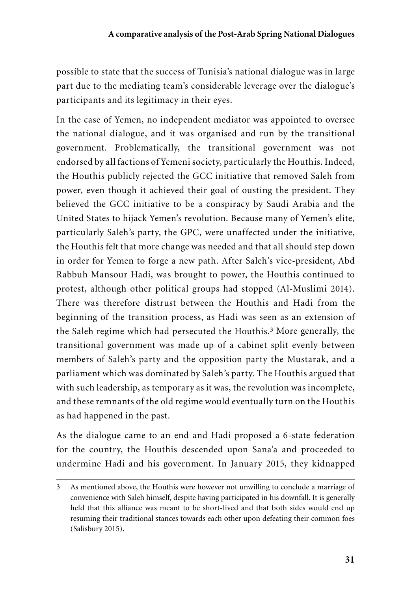possible to state that the success of Tunisia's national dialogue was in large part due to the mediating team's considerable leverage over the dialogue's participants and its legitimacy in their eyes.

In the case of Yemen, no independent mediator was appointed to oversee the national dialogue, and it was organised and run by the transitional government. Problematically, the transitional government was not endorsed by all factions of Yemeni society, particularly the Houthis. Indeed, the Houthis publicly rejected the GCC initiative that removed Saleh from power, even though it achieved their goal of ousting the president. They believed the GCC initiative to be a conspiracy by Saudi Arabia and the United States to hijack Yemen's revolution. Because many of Yemen's elite, particularly Saleh's party, the GPC, were unaffected under the initiative, the Houthis felt that more change was needed and that all should step down in order for Yemen to forge a new path. After Saleh's vice-president, Abd Rabbuh Mansour Hadi, was brought to power, the Houthis continued to protest, although other political groups had stopped (Al-Muslimi 2014). There was therefore distrust between the Houthis and Hadi from the beginning of the transition process, as Hadi was seen as an extension of the Saleh regime which had persecuted the Houthis.3 More generally, the transitional government was made up of a cabinet split evenly between members of Saleh's party and the opposition party the Mustarak, and a parliament which was dominated by Saleh's party. The Houthis argued that with such leadership, as temporary as it was, the revolution was incomplete, and these remnants of the old regime would eventually turn on the Houthis as had happened in the past.

As the dialogue came to an end and Hadi proposed a 6-state federation for the country, the Houthis descended upon Sana'a and proceeded to undermine Hadi and his government. In January 2015, they kidnapped

<sup>3</sup> As mentioned above, the Houthis were however not unwilling to conclude a marriage of convenience with Saleh himself, despite having participated in his downfall. It is generally held that this alliance was meant to be short-lived and that both sides would end up resuming their traditional stances towards each other upon defeating their common foes (Salisbury 2015).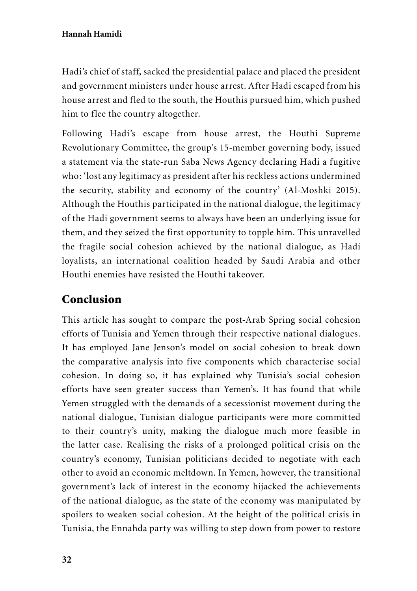Hadi's chief of staff, sacked the presidential palace and placed the president and government ministers under house arrest. After Hadi escaped from his house arrest and fled to the south, the Houthis pursued him, which pushed him to flee the country altogether.

Following Hadi's escape from house arrest, the Houthi Supreme Revolutionary Committee, the group's 15-member governing body, issued a statement via the state-run Saba News Agency declaring Hadi a fugitive who: 'lost any legitimacy as president after his reckless actions undermined the security, stability and economy of the country' (Al-Moshki 2015). Although the Houthis participated in the national dialogue, the legitimacy of the Hadi government seems to always have been an underlying issue for them, and they seized the first opportunity to topple him. This unravelled the fragile social cohesion achieved by the national dialogue, as Hadi loyalists, an international coalition headed by Saudi Arabia and other Houthi enemies have resisted the Houthi takeover.

# Conclusion

This article has sought to compare the post-Arab Spring social cohesion efforts of Tunisia and Yemen through their respective national dialogues. It has employed Jane Jenson's model on social cohesion to break down the comparative analysis into five components which characterise social cohesion. In doing so, it has explained why Tunisia's social cohesion efforts have seen greater success than Yemen's. It has found that while Yemen struggled with the demands of a secessionist movement during the national dialogue, Tunisian dialogue participants were more committed to their country's unity, making the dialogue much more feasible in the latter case. Realising the risks of a prolonged political crisis on the country's economy, Tunisian politicians decided to negotiate with each other to avoid an economic meltdown. In Yemen, however, the transitional government's lack of interest in the economy hijacked the achievements of the national dialogue, as the state of the economy was manipulated by spoilers to weaken social cohesion. At the height of the political crisis in Tunisia, the Ennahda party was willing to step down from power to restore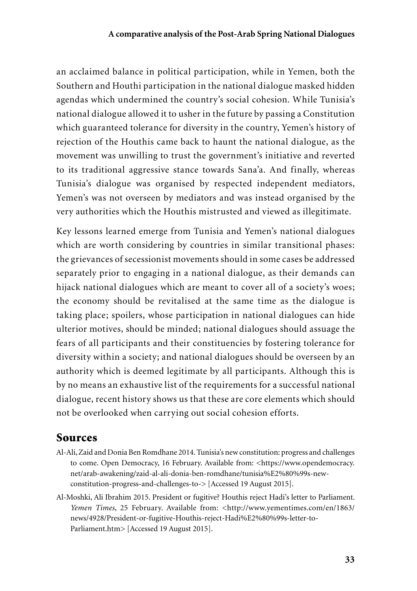an acclaimed balance in political participation, while in Yemen, both the Southern and Houthi participation in the national dialogue masked hidden agendas which undermined the country's social cohesion. While Tunisia's national dialogue allowed it to usher in the future by passing a Constitution which guaranteed tolerance for diversity in the country, Yemen's history of rejection of the Houthis came back to haunt the national dialogue, as the movement was unwilling to trust the government's initiative and reverted to its traditional aggressive stance towards Sana'a. And finally, whereas Tunisia's dialogue was organised by respected independent mediators, Yemen's was not overseen by mediators and was instead organised by the very authorities which the Houthis mistrusted and viewed as illegitimate.

Key lessons learned emerge from Tunisia and Yemen's national dialogues which are worth considering by countries in similar transitional phases: the grievances of secessionist movements should in some cases be addressed separately prior to engaging in a national dialogue, as their demands can hijack national dialogues which are meant to cover all of a society's woes; the economy should be revitalised at the same time as the dialogue is taking place; spoilers, whose participation in national dialogues can hide ulterior motives, should be minded; national dialogues should assuage the fears of all participants and their constituencies by fostering tolerance for diversity within a society; and national dialogues should be overseen by an authority which is deemed legitimate by all participants. Although this is by no means an exhaustive list of the requirements for a successful national dialogue, recent history shows us that these are core elements which should not be overlooked when carrying out social cohesion efforts.

## Sources

- Al-Ali, Zaid and Donia Ben Romdhane 2014. Tunisia's new constitution: progress and challenges to come. Open Democracy, 16 February. Available from: <https://www.opendemocracy. net/arab-awakening/zaid-al-ali-donia-ben-romdhane/tunisia%E2%80%99s-newconstitution-progress-and-challenges-to-> [Accessed 19 August 2015].
- Al-Moshki, Ali Ibrahim 2015. President or fugitive? Houthis reject Hadi's letter to Parliament. *Yemen Times*, 25 February. Available from: <http://www.yementimes.com/en/1863/ news/4928/President-or-fugitive-Houthis-reject-Hadi%E2%80%99s-letter-to-Parliament.htm> [Accessed 19 August 2015].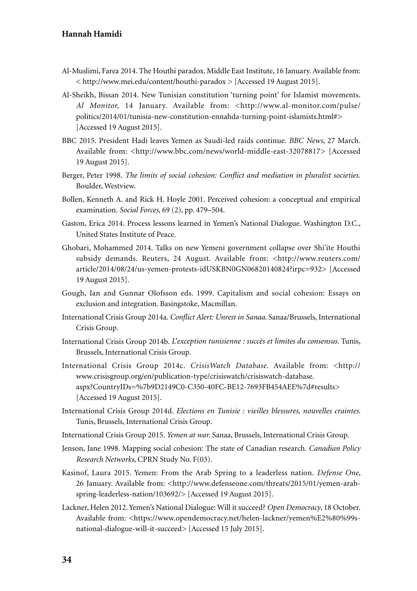- Al-Muslimi, Farea 2014. The Houthi paradox. Middle East Institute, 16 January. Available from: < http://www.mei.edu/content/houthi-paradox > [Accessed 19 August 2015].
- Al-Sheikh, Bissan 2014. New Tunisian constitution 'turning point' for Islamist movements. Al Monitor, 14 January. Available from: <http://www.al-monitor.com/pulse/ politics/2014/01/tunisia-new-constitution-ennahda-turning-point-islamists.html#> [Accessed 19 August 2015].
- BBC 2015. President Hadi leaves Yemen as Saudi-led raids continue. *BBC News*, 27 March. Available from: <http://www.bbc.com/news/world-middle-east-32078817> [Accessed 19 August 2015].
- Berger, Peter 1998. *The limits of social cohesion: Conflict and mediation in pluralist societies.* Boulder, Westview.
- Bollen, Kenneth A. and Rick H. Hoyle 2001. Perceived cohesion: a conceptual and empirical examination. *Social Forces,* 69 (2), pp. 479–504.
- Gaston, Erica 2014. Process lessons learned in Yemen's National Dialogue. Washington D.C., United States Institute of Peace.
- Ghobari, Mohammed 2014. Talks on new Yemeni government collapse over Shi'ite Houthi subsidy demands. Reuters, 24 August. Available from: <http://www.reuters.com/ article/2014/08/24/us-yemen-protests-idUSKBN0GN06820140824?irpc=932> [Accessed 19 August 2015].
- Gough, Ian and Gunnar Olofsson eds. 1999. Capitalism and social cohesion: Essays on exclusion and integration. Basingstoke, Macmillan.
- International Crisis Group 2014a. *Conflict Alert: Unrest in Sanaa*. Sanaa/Brussels, International Crisis Group.
- International Crisis Group 2014b. *L'exception tunisienne : succès et limites du consensus.* Tunis, Brussels, International Crisis Group.
- International Crisis Group 2014c. *CrisisWatch Database.* Available from: <http:// www.crisisgroup.org/en/publication-type/crisiswatch/crisiswatch-database. aspx?CountryIDs=%7b9D2149C0-C350-40FC-BE12-7693FB454AEE%7d#results> [Accessed 19 August 2015].
- International Crisis Group 2014d. *Elections en Tunisie : vieilles blessures, nouvelles craintes*. Tunis, Brussels, International Crisis Group.
- International Crisis Group 2015. *Yemen at war*. Sanaa, Brussels, International Crisis Group.
- Jenson, Jane 1998. Mapping social cohesion: The state of Canadian research. *Canadian Policy Research Networks,* CPRN Study No. F(03).
- Kasinof, Laura 2015. Yemen: From the Arab Spring to a leaderless nation. *Defense One*, 26 January. Available from: <http://www.defenseone.com/threats/2015/01/yemen-arabspring-leaderless-nation/103692/> [Accessed 19 August 2015].
- Lackner, Helen 2012. Yemen's National Dialogue: Will it succeed? *Open Democracy*, 18 October. Available from: <https://www.opendemocracy.net/helen-lackner/yemen%E2%80%99snational-dialogue-will-it-succeed> [Accessed 15 July 2015].